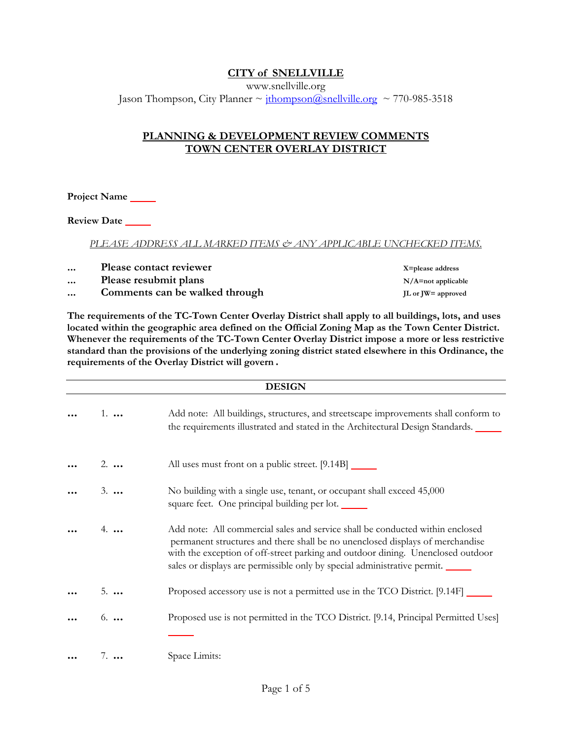# **CITY of SNELLVILLE**

www.snellville.org Jason Thompson, City Planner  $\sim$  jthompson@snellville.org  $\sim$  770-985-3518

## **PLANNING & DEVELOPMENT REVIEW COMMENTS TOWN CENTER OVERLAY DISTRICT**

**Project Name** 

**Review Date** 

*PLEASE ADDRESS ALL MARKED ITEMS & ANY APPLICABLE UNCHECKED ITEMS.*

... Please contact reviewer **X**=please address

- ... Please resubmit plans **N/A=not** applicable
- **...** Comments can be walked through **JL** or JW= approved

**The requirements of the TC-Town Center Overlay District shall apply to all buildings, lots, and uses located within the geographic area defined on the Official Zoning Map as the Town Center District. Whenever the requirements of the TC-Town Center Overlay District impose a more or less restrictive standard than the provisions of the underlying zoning district stated elsewhere in this Ordinance, the requirements of the Overlay District will govern**.

| <b>DESIGN</b> |             |                                                                                                                                                                                                                                                                                                                               |
|---------------|-------------|-------------------------------------------------------------------------------------------------------------------------------------------------------------------------------------------------------------------------------------------------------------------------------------------------------------------------------|
|               | $1. \ldots$ | Add note: All buildings, structures, and streetscape improvements shall conform to<br>the requirements illustrated and stated in the Architectural Design Standards.                                                                                                                                                          |
|               | $2. \ldots$ | All uses must front on a public street. [9.14B]                                                                                                                                                                                                                                                                               |
|               | $3. \ldots$ | No building with a single use, tenant, or occupant shall exceed 45,000<br>square feet. One principal building per lot.                                                                                                                                                                                                        |
|               |             | Add note: All commercial sales and service shall be conducted within enclosed<br>permanent structures and there shall be no unenclosed displays of merchandise<br>with the exception of off-street parking and outdoor dining. Unenclosed outdoor<br>sales or displays are permissible only by special administrative permit. |
|               | $5. \ldots$ | Proposed accessory use is not a permitted use in the TCO District. [9.14F]                                                                                                                                                                                                                                                    |
|               | $6. \ldots$ | Proposed use is not permitted in the TCO District. [9.14, Principal Permitted Uses]                                                                                                                                                                                                                                           |
|               | $7.$        | Space Limits:                                                                                                                                                                                                                                                                                                                 |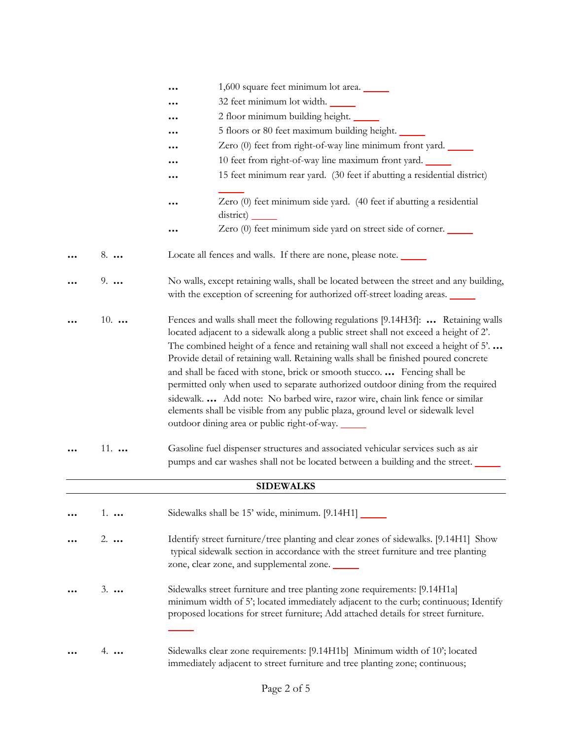|             | 1,600 square feet minimum lot area.                                                                                                                                                                                                                                                                                                                                                                                                |
|-------------|------------------------------------------------------------------------------------------------------------------------------------------------------------------------------------------------------------------------------------------------------------------------------------------------------------------------------------------------------------------------------------------------------------------------------------|
|             | 32 feet minimum lot width.                                                                                                                                                                                                                                                                                                                                                                                                         |
|             | 2 floor minimum building height.                                                                                                                                                                                                                                                                                                                                                                                                   |
|             | 5 floors or 80 feet maximum building height.                                                                                                                                                                                                                                                                                                                                                                                       |
|             | Zero (0) feet from right-of-way line minimum front yard.                                                                                                                                                                                                                                                                                                                                                                           |
|             | 10 feet from right-of-way line maximum front yard.                                                                                                                                                                                                                                                                                                                                                                                 |
|             | 15 feet minimum rear yard. (30 feet if abutting a residential district)                                                                                                                                                                                                                                                                                                                                                            |
|             |                                                                                                                                                                                                                                                                                                                                                                                                                                    |
|             | Zero (0) feet minimum side yard. (40 feet if abutting a residential                                                                                                                                                                                                                                                                                                                                                                |
|             | district)                                                                                                                                                                                                                                                                                                                                                                                                                          |
|             | Zero (0) feet minimum side yard on street side of corner.                                                                                                                                                                                                                                                                                                                                                                          |
| 8.          | Locate all fences and walls. If there are none, please note.                                                                                                                                                                                                                                                                                                                                                                       |
| $9. \ldots$ | No walls, except retaining walls, shall be located between the street and any building,<br>with the exception of screening for authorized off-street loading areas.                                                                                                                                                                                                                                                                |
| $10.$       | Fences and walls shall meet the following regulations [9.14H3f]:  Retaining walls<br>located adjacent to a sidewalk along a public street shall not exceed a height of 2'.<br>The combined height of a fence and retaining wall shall not exceed a height of 5'<br>Provide detail of retaining wall. Retaining walls shall be finished poured concrete<br>and shall be faced with stone, brick or smooth stucco.  Fencing shall be |
|             | permitted only when used to separate authorized outdoor dining from the required<br>sidewalk.  Add note: No barbed wire, razor wire, chain link fence or similar<br>elements shall be visible from any public plaza, ground level or sidewalk level<br>outdoor dining area or public right-of-way.                                                                                                                                 |
| $11.$       | Gasoline fuel dispenser structures and associated vehicular services such as air<br>pumps and car washes shall not be located between a building and the street.                                                                                                                                                                                                                                                                   |
|             | <b>SIDEWALKS</b>                                                                                                                                                                                                                                                                                                                                                                                                                   |
| $1. \ldots$ | Sidewalks shall be 15' wide, minimum. [9.14H1] _______                                                                                                                                                                                                                                                                                                                                                                             |
| $2. \ldots$ | Identify street furniture/tree planting and clear zones of sidewalks. [9.14H1] Show<br>typical sidewalk section in accordance with the street furniture and tree planting<br>zone, clear zone, and supplemental zone.                                                                                                                                                                                                              |
| $3. \ldots$ | Sidewalks street furniture and tree planting zone requirements: [9.14H1a]<br>minimum width of 5'; located immediately adjacent to the curb; continuous; Identify<br>proposed locations for street furniture; Add attached details for street furniture.                                                                                                                                                                            |
| 4.          | Sidewalks clear zone requirements: [9.14H1b] Minimum width of 10'; located<br>immediately adjacent to street furniture and tree planting zone; continuous;                                                                                                                                                                                                                                                                         |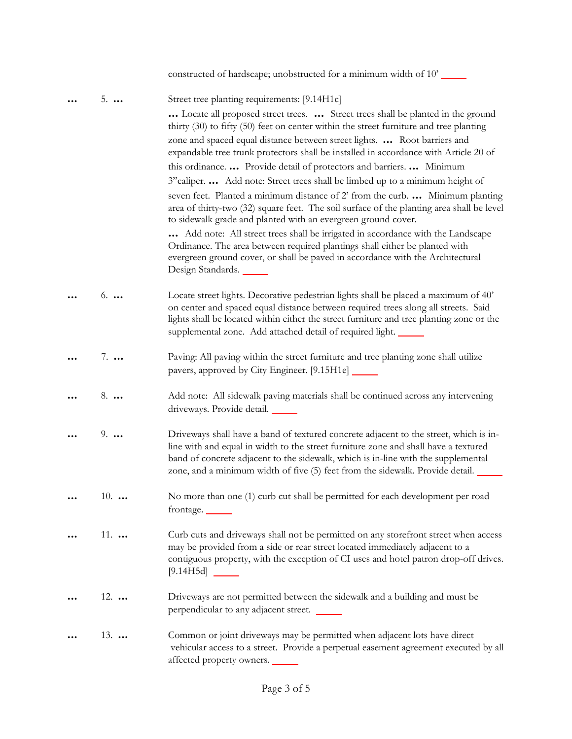|              | constructed of hardscape; unobstructed for a minimum width of 10'                                                                                                                                                                                                                                                                                  |
|--------------|----------------------------------------------------------------------------------------------------------------------------------------------------------------------------------------------------------------------------------------------------------------------------------------------------------------------------------------------------|
| $5. \ldots$  | Street tree planting requirements: [9.14H1c]                                                                                                                                                                                                                                                                                                       |
|              | Locate all proposed street trees.  Street trees shall be planted in the ground<br>thirty (30) to fifty (50) feet on center within the street furniture and tree planting                                                                                                                                                                           |
|              | zone and spaced equal distance between street lights.  Root barriers and<br>expandable tree trunk protectors shall be installed in accordance with Article 20 of                                                                                                                                                                                   |
|              | this ordinance.  Provide detail of protectors and barriers.  Minimum                                                                                                                                                                                                                                                                               |
|              | 3" caliper.  Add note: Street trees shall be limbed up to a minimum height of                                                                                                                                                                                                                                                                      |
|              | seven feet. Planted a minimum distance of 2' from the curb.  Minimum planting<br>area of thirty-two (32) square feet. The soil surface of the planting area shall be level<br>to sidewalk grade and planted with an evergreen ground cover.                                                                                                        |
|              | Add note: All street trees shall be irrigated in accordance with the Landscape<br>Ordinance. The area between required plantings shall either be planted with<br>evergreen ground cover, or shall be paved in accordance with the Architectural<br>Design Standards.                                                                               |
| $6. \ldots$  | Locate street lights. Decorative pedestrian lights shall be placed a maximum of 40'<br>on center and spaced equal distance between required trees along all streets. Said<br>lights shall be located within either the street furniture and tree planting zone or the<br>supplemental zone. Add attached detail of required light.                 |
| $7. \ldots$  | Paving: All paving within the street furniture and tree planting zone shall utilize<br>pavers, approved by City Engineer. [9.15H1e] ______                                                                                                                                                                                                         |
| $8. \ldots$  | Add note: All sidewalk paving materials shall be continued across any intervening<br>driveways. Provide detail.                                                                                                                                                                                                                                    |
| $9. \ldots$  | Driveways shall have a band of textured concrete adjacent to the street, which is in-<br>line with and equal in width to the street furniture zone and shall have a textured<br>band of concrete adjacent to the sidewalk, which is in-line with the supplemental<br>zone, and a minimum width of five (5) feet from the sidewalk. Provide detail. |
| 10. $\ldots$ | No more than one (1) curb cut shall be permitted for each development per road<br>frontage.                                                                                                                                                                                                                                                        |
| $11.$        | Curb cuts and driveways shall not be permitted on any storefront street when access<br>may be provided from a side or rear street located immediately adjacent to a<br>contiguous property, with the exception of CI uses and hotel patron drop-off drives.                                                                                        |
| $12.$        | Driveways are not permitted between the sidewalk and a building and must be<br>perpendicular to any adjacent street.                                                                                                                                                                                                                               |
| $13.$        | Common or joint driveways may be permitted when adjacent lots have direct<br>vehicular access to a street. Provide a perpetual easement agreement executed by all<br>affected property owners.                                                                                                                                                     |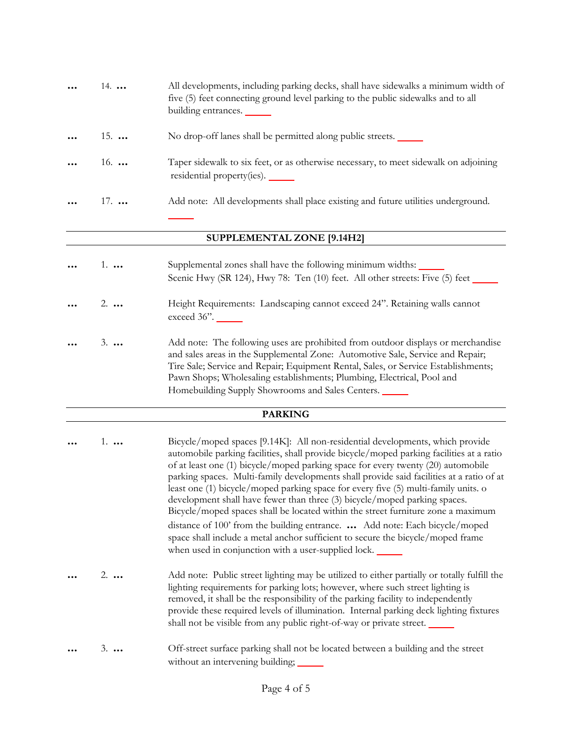| $\ddotsc$ | $14. \ldots$ | All developments, including parking decks, shall have sidewalks a minimum width of<br>five (5) feet connecting ground level parking to the public sidewalks and to all<br>building entrances. |
|-----------|--------------|-----------------------------------------------------------------------------------------------------------------------------------------------------------------------------------------------|
| $\ddotsc$ | $15.$        | No drop-off lanes shall be permitted along public streets.                                                                                                                                    |
| $\cdots$  | 16. $$       | Taper sidewalk to six feet, or as otherwise necessary, to meet sidewalk on adjoining<br>residential property(ies).                                                                            |
| $\ddotsc$ | $17.$        | Add note: All developments shall place existing and future utilities underground.                                                                                                             |
|           |              |                                                                                                                                                                                               |

### **SUPPLEMENTAL ZONE [9.14H2]**

| $\ddotsc$            | 1.          | Supplemental zones shall have the following minimum widths:<br>Scenic Hwy (SR 124), Hwy 78: Ten $(10)$ feet. All other streets: Five $(5)$ feet                    |
|----------------------|-------------|--------------------------------------------------------------------------------------------------------------------------------------------------------------------|
| $\cdots$             | 2.          | Height Requirements: Landscaping cannot exceed 24". Retaining walls cannot<br>exceed 36".                                                                          |
| $\ddot{\phantom{a}}$ | $3. \ldots$ | Add note: The following uses are prohibited from outdoor displays or merchandise<br>and sales areas in the Supplemental Zone: Automotive Sale, Service and Repair: |

and sales areas in the Supplemental Zone: Automotive Sale, Service and Repair; Tire Sale; Service and Repair; Equipment Rental, Sales, or Service Establishments; Pawn Shops; Wholesaling establishments; Plumbing, Electrical, Pool and Homebuilding Supply Showrooms and Sales Centers.

#### **PARKING**

| $1. \ldots$ | Bicycle/moped spaces [9.14K]: All non-residential developments, which provide<br>automobile parking facilities, shall provide bicycle/moped parking facilities at a ratio<br>of at least one (1) bicycle/moped parking space for every twenty (20) automobile<br>parking spaces. Multi-family developments shall provide said facilities at a ratio of at<br>least one (1) bicycle/moped parking space for every five (5) multi-family units. o<br>development shall have fewer than three (3) bicycle/moped parking spaces.<br>Bicycle/moped spaces shall be located within the street furniture zone a maximum<br>distance of 100' from the building entrance.  Add note: Each bicycle/moped<br>space shall include a metal anchor sufficient to secure the bicycle/moped frame<br>when used in conjunction with a user-supplied lock. |
|-------------|------------------------------------------------------------------------------------------------------------------------------------------------------------------------------------------------------------------------------------------------------------------------------------------------------------------------------------------------------------------------------------------------------------------------------------------------------------------------------------------------------------------------------------------------------------------------------------------------------------------------------------------------------------------------------------------------------------------------------------------------------------------------------------------------------------------------------------------|
| $2. \ldots$ | Add note: Public street lighting may be utilized to either partially or totally fulfill the<br>lighting requirements for parking lots; however, where such street lighting is<br>removed, it shall be the responsibility of the parking facility to independently<br>provide these required levels of illumination. Internal parking deck lighting fixtures                                                                                                                                                                                                                                                                                                                                                                                                                                                                              |

**...** 3. **...** Off-street surface parking shall not be located between a building and the street without an intervening building;

shall not be visible from any public right-of-way or private street.